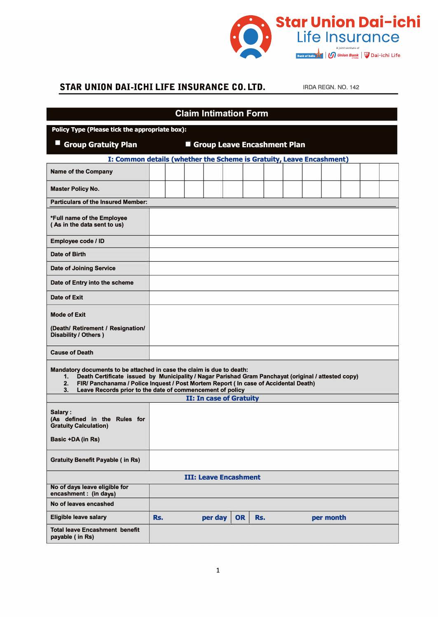

## **STAR UNION DAI-ICHI LIFE INSURANCE CO. LTD.** IRDA REGN. NO. 142

| <b>Claim Intimation Form</b>                                                                                                                                                                                                                                                                                                                        |     |  |  |                                |           |     |  |           |  |  |
|-----------------------------------------------------------------------------------------------------------------------------------------------------------------------------------------------------------------------------------------------------------------------------------------------------------------------------------------------------|-----|--|--|--------------------------------|-----------|-----|--|-----------|--|--|
| Policy Type (Please tick the appropriate box):                                                                                                                                                                                                                                                                                                      |     |  |  |                                |           |     |  |           |  |  |
| <b>Group Gratuity Plan</b><br><b>Sandwich Cheave Encashment Plan</b>                                                                                                                                                                                                                                                                                |     |  |  |                                |           |     |  |           |  |  |
| I: Common details (whether the Scheme is Gratuity, Leave Encashment)                                                                                                                                                                                                                                                                                |     |  |  |                                |           |     |  |           |  |  |
| <b>Name of the Company</b>                                                                                                                                                                                                                                                                                                                          |     |  |  |                                |           |     |  |           |  |  |
| <b>Master Policy No.</b>                                                                                                                                                                                                                                                                                                                            |     |  |  |                                |           |     |  |           |  |  |
| <b>Particulars of the Insured Member:</b>                                                                                                                                                                                                                                                                                                           |     |  |  |                                |           |     |  |           |  |  |
| *Full name of the Employee<br>(As in the data sent to us)                                                                                                                                                                                                                                                                                           |     |  |  |                                |           |     |  |           |  |  |
| Employee code / ID                                                                                                                                                                                                                                                                                                                                  |     |  |  |                                |           |     |  |           |  |  |
| Date of Birth                                                                                                                                                                                                                                                                                                                                       |     |  |  |                                |           |     |  |           |  |  |
| <b>Date of Joining Service</b>                                                                                                                                                                                                                                                                                                                      |     |  |  |                                |           |     |  |           |  |  |
| Date of Entry into the scheme                                                                                                                                                                                                                                                                                                                       |     |  |  |                                |           |     |  |           |  |  |
| Date of Exit                                                                                                                                                                                                                                                                                                                                        |     |  |  |                                |           |     |  |           |  |  |
| <b>Mode of Exit</b><br>(Death/ Retirement / Resignation/<br><b>Disability / Others )</b>                                                                                                                                                                                                                                                            |     |  |  |                                |           |     |  |           |  |  |
| <b>Cause of Death</b>                                                                                                                                                                                                                                                                                                                               |     |  |  |                                |           |     |  |           |  |  |
| Mandatory documents to be attached in case the claim is due to death:<br>Death Certificate issued by Municipality / Nagar Parishad Gram Panchayat (original / attested copy)<br>1.<br>2.<br>FIR/ Panchanama / Police Inquest / Post Mortem Report ( In case of Accidental Death)<br>Leave Records prior to the date of commencement of policy<br>3. |     |  |  |                                |           |     |  |           |  |  |
|                                                                                                                                                                                                                                                                                                                                                     |     |  |  | <b>II: In case of Gratuity</b> |           |     |  |           |  |  |
| Salary:<br>(As defined in the Rules for<br><b>Gratuity Calculation)</b><br>Basic +DA (in Rs)                                                                                                                                                                                                                                                        |     |  |  |                                |           |     |  |           |  |  |
| <b>Gratuity Benefit Payable (in Rs)</b>                                                                                                                                                                                                                                                                                                             |     |  |  |                                |           |     |  |           |  |  |
|                                                                                                                                                                                                                                                                                                                                                     |     |  |  | <b>III: Leave Encashment</b>   |           |     |  |           |  |  |
| No of days leave eligible for<br>encashment : (in days)                                                                                                                                                                                                                                                                                             |     |  |  |                                |           |     |  |           |  |  |
| No of leaves encashed                                                                                                                                                                                                                                                                                                                               |     |  |  |                                |           |     |  |           |  |  |
| <b>Eligible leave salary</b>                                                                                                                                                                                                                                                                                                                        | Rs. |  |  | per day                        | <b>OR</b> | Rs. |  | per month |  |  |
| <b>Total leave Encashment benefit</b><br>payable (in Rs)                                                                                                                                                                                                                                                                                            |     |  |  |                                |           |     |  |           |  |  |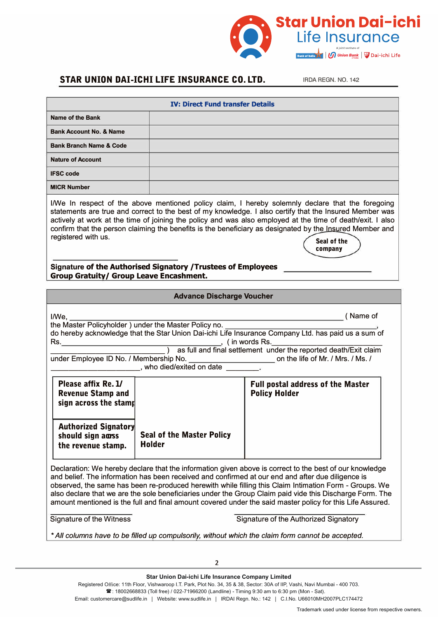

## **STAR UNION DAI-ICHI LIFE INSURANCE CO. LTD. IRDA REGN. NO. 142**

**company** 

| <b>IV: Direct Fund transfer Details</b> |  |  |  |
|-----------------------------------------|--|--|--|
| <b>Name of the Bank</b>                 |  |  |  |
| <b>Bank Account No. &amp; Name</b>      |  |  |  |
| <b>Bank Branch Name &amp; Code</b>      |  |  |  |
| <b>Nature of Account</b>                |  |  |  |
| <b>IFSC code</b>                        |  |  |  |
| <b>MICR Number</b>                      |  |  |  |
|                                         |  |  |  |

I/We In respect of the above mentioned policy claim, I hereby solemnly declare that the foregoing statements are true and correct to the best of my knowledge. I also certify that the Insured Member was actively at work at the time of joining the policy and was also employed at the time of death/exit. I also confirm that the person claiming the benefits is the beneficiary as designated by the Insured Member and registered with us. **Seal of the** <br>
Seal of the **Seal of the** 

**Signature of the Authorised Signatory /Trustees of Employees Group Gratuity/ Group Leave Encashment.** 

| <b>Advance Discharge Voucher</b>                                                                                                                                                                                                                                                                                                                                                                                                                                                                                                                |                                                      |                                                                                                                                                                                                                                                                                    |  |  |  |  |  |
|-------------------------------------------------------------------------------------------------------------------------------------------------------------------------------------------------------------------------------------------------------------------------------------------------------------------------------------------------------------------------------------------------------------------------------------------------------------------------------------------------------------------------------------------------|------------------------------------------------------|------------------------------------------------------------------------------------------------------------------------------------------------------------------------------------------------------------------------------------------------------------------------------------|--|--|--|--|--|
| I/We, Los                                                                                                                                                                                                                                                                                                                                                                                                                                                                                                                                       | the Master Policyholder) under the Master Policy no. | (Name of<br>do hereby acknowledge that the Star Union Dai-ichi Life Insurance Company Ltd. has paid us a sum of<br>Rs.<br>Noting the words Rs.<br>Solution of the settlement under the reported death/Exit claim<br>Solution of the settlement under the reported death/Exit claim |  |  |  |  |  |
| Please affix Re. 1/<br><b>Revenue Stamp and</b><br>sign across the stamp                                                                                                                                                                                                                                                                                                                                                                                                                                                                        |                                                      | <b>Full postal address of the Master</b><br><b>Policy Holder</b>                                                                                                                                                                                                                   |  |  |  |  |  |
| <b>Authorized Signatory</b><br>should sign agss<br>the revenue stamp.                                                                                                                                                                                                                                                                                                                                                                                                                                                                           | <b>Seal of the Master Policy</b><br>Holder           |                                                                                                                                                                                                                                                                                    |  |  |  |  |  |
| Declaration: We hereby declare that the information given above is correct to the best of our knowledge<br>and belief. The information has been received and confirmed at our end and after due diligence is<br>observed, the same has been re-produced herewith while filling this Claim Intimation Form - Groups. We<br>also declare that we are the sole beneficiaries under the Group Claim paid vide this Discharge Form. The<br>amount mentioned is the full and final amount covered under the said master policy for this Life Assured. |                                                      |                                                                                                                                                                                                                                                                                    |  |  |  |  |  |
| Signature of the Authorized Signatory<br>Signature of the Witness                                                                                                                                                                                                                                                                                                                                                                                                                                                                               |                                                      |                                                                                                                                                                                                                                                                                    |  |  |  |  |  |
|                                                                                                                                                                                                                                                                                                                                                                                                                                                                                                                                                 |                                                      | * All columns have to be filled up compulsorily, without which the claim form cannot be accepted.                                                                                                                                                                                  |  |  |  |  |  |
|                                                                                                                                                                                                                                                                                                                                                                                                                                                                                                                                                 | $\overline{2}$                                       |                                                                                                                                                                                                                                                                                    |  |  |  |  |  |
|                                                                                                                                                                                                                                                                                                                                                                                                                                                                                                                                                 | Star Union Dai-ichi Life Insurance Company Limited   |                                                                                                                                                                                                                                                                                    |  |  |  |  |  |